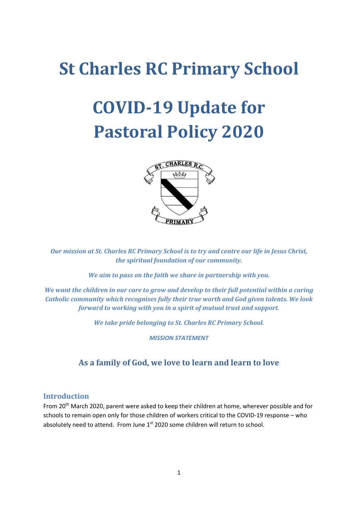# **St Charles RC Primary School**

# **COVID-19 Update for Pastoral Policy 2020**



*Our mission at St. Charles RC Primary School is to try and centre our life in Jesus Christ, the spiritual foundation of our community.*

*We aim to pass on the faith we share in partnership with you.*

*We want the children in our care to grow and develop to their full potential within a caring Catholic community which recognises fully their true worth and God given talents. We look forward to working with you in a spirit of mutual trust and support.*

*We take pride belonging to St. Charles RC Primary School.*

*MISSION STATEMENT*

## **As a family of God, we love to learn and learn to love**

#### **Introduction**

From 20<sup>th</sup> March 2020, parent were asked to keep their children at home, wherever possible and for schools to remain open only for those children of workers critical to the COVID-19 response – who absolutely need to attend. From June 1<sup>st</sup> 2020 some children will return to school.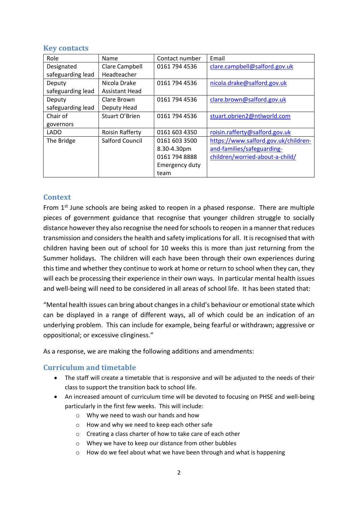#### **Key contacts**

| Role              | Name                   | Contact number | Email                                |
|-------------------|------------------------|----------------|--------------------------------------|
| Designated        | Clare Campbell         | 0161 794 4536  | clare.campbell@salford.gov.uk        |
| safeguarding lead | Headteacher            |                |                                      |
| Deputy            | Nicola Drake           | 0161 794 4536  | nicola.drake@salford.gov.uk          |
| safeguarding lead | <b>Assistant Head</b>  |                |                                      |
| Deputy            | Clare Brown            | 0161 794 4536  | clare.brown@salford.gov.uk           |
| safeguarding lead | Deputy Head            |                |                                      |
| Chair of          | Stuart O'Brien         | 0161 794 4536  | stuart.obrien2@ntlworld.com          |
| governors         |                        |                |                                      |
| <b>LADO</b>       | <b>Roisin Rafferty</b> | 0161 603 4350  | roisin.rafferty@salford.gov.uk       |
| The Bridge        | <b>Salford Council</b> | 0161 603 3500  | https://www.salford.gov.uk/children- |
|                   |                        | 8.30-4.30pm    | and-families/safeguarding-           |
|                   |                        | 0161 794 8888  | children/worried-about-a-child/      |
|                   |                        | Emergency duty |                                      |
|                   |                        | team           |                                      |

### **Context**

From  $1<sup>st</sup>$  June schools are being asked to reopen in a phased response. There are multiple pieces of government guidance that recognise that younger children struggle to socially distance however they also recognise the need for schools to reopen in a manner that reduces transmission and considers the health and safety implications for all. It is recognised that with children having been out of school for 10 weeks this is more than just returning from the Summer holidays. The children will each have been through their own experiences during this time and whether they continue to work at home or return to school when they can, they will each be processing their experience in their own ways. In particular mental health issues and well-being will need to be considered in all areas of school life. It has been stated that:

"Mental health issues can bring about changes in a child's behaviour or emotional state which can be displayed in a range of different ways, all of which could be an indication of an underlying problem. This can include for example, being fearful or withdrawn; aggressive or oppositional; or excessive clinginess."

As a response, we are making the following additions and amendments:

#### **Curriculum and timetable**

- The staff will create a timetable that is responsive and will be adjusted to the needs of their class to support the transition back to school life.
- An increased amount of curriculum time will be devoted to focusing on PHSE and well-being particularly in the first few weeks. This will include:
	- o Why we need to wash our hands and how
	- o How and why we need to keep each other safe
	- o Creating a class charter of how to take care of each other
	- o Whey we have to keep our distance from other bubbles
	- o How do we feel about what we have been through and what is happening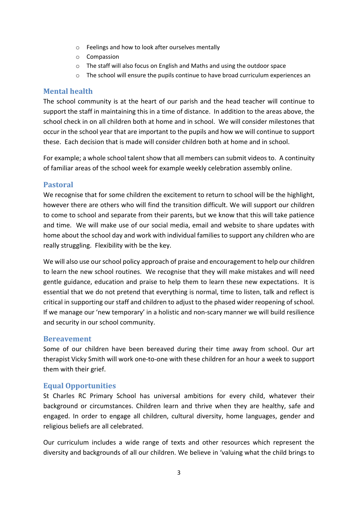- o Feelings and how to look after ourselves mentally
- o Compassion
- o The staff will also focus on English and Maths and using the outdoor space
- o The school will ensure the pupils continue to have broad curriculum experiences an

#### **Mental health**

The school community is at the heart of our parish and the head teacher will continue to support the staff in maintaining this in a time of distance. In addition to the areas above, the school check in on all children both at home and in school. We will consider milestones that occur in the school year that are important to the pupils and how we will continue to support these. Each decision that is made will consider children both at home and in school.

For example; a whole school talent show that all members can submit videos to. A continuity of familiar areas of the school week for example weekly celebration assembly online.

#### **Pastoral**

We recognise that for some children the excitement to return to school will be the highlight, however there are others who will find the transition difficult. We will support our children to come to school and separate from their parents, but we know that this will take patience and time. We will make use of our social media, email and website to share updates with home about the school day and work with individual families to support any children who are really struggling. Flexibility with be the key.

We will also use our school policy approach of praise and encouragement to help our children to learn the new school routines. We recognise that they will make mistakes and will need gentle guidance, education and praise to help them to learn these new expectations. It is essential that we do not pretend that everything is normal, time to listen, talk and reflect is critical in supporting our staff and children to adjust to the phased wider reopening of school. If we manage our 'new temporary' in a holistic and non-scary manner we will build resilience and security in our school community.

#### **Bereavement**

Some of our children have been bereaved during their time away from school. Our art therapist Vicky Smith will work one-to-one with these children for an hour a week to support them with their grief.

#### **Equal Opportunities**

St Charles RC Primary School has universal ambitions for every child, whatever their background or circumstances. Children learn and thrive when they are healthy, safe and engaged. In order to engage all children, cultural diversity, home languages, gender and religious beliefs are all celebrated.

Our curriculum includes a wide range of texts and other resources which represent the diversity and backgrounds of all our children. We believe in 'valuing what the child brings to